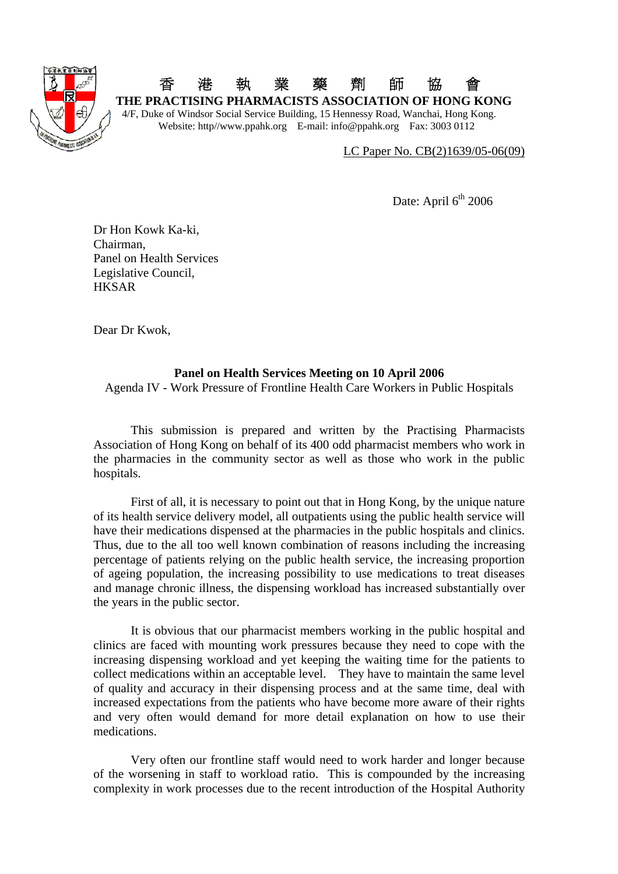

## 香港執業藥劑師協會  **THE PRACTISING PHARMACISTS ASSOCIATION OF HONG KONG**  4/F, Duke of Windsor Social Service Building, 15 Hennessy Road, Wanchai, Hong Kong. Website: http//www.ppahk.org E-mail: info@ppahk.org Fax: 3003 0112

LC Paper No. CB(2)1639/05-06(09)

Date: April  $6<sup>th</sup>$  2006

Dr Hon Kowk Ka-ki, Chairman, Panel on Health Services Legislative Council, HKSAR

Dear Dr Kwok,

## **Panel on Health Services Meeting on 10 April 2006**

Agenda IV - Work Pressure of Frontline Health Care Workers in Public Hospitals

 This submission is prepared and written by the Practising Pharmacists Association of Hong Kong on behalf of its 400 odd pharmacist members who work in the pharmacies in the community sector as well as those who work in the public hospitals.

First of all, it is necessary to point out that in Hong Kong, by the unique nature of its health service delivery model, all outpatients using the public health service will have their medications dispensed at the pharmacies in the public hospitals and clinics. Thus, due to the all too well known combination of reasons including the increasing percentage of patients relying on the public health service, the increasing proportion of ageing population, the increasing possibility to use medications to treat diseases and manage chronic illness, the dispensing workload has increased substantially over the years in the public sector.

It is obvious that our pharmacist members working in the public hospital and clinics are faced with mounting work pressures because they need to cope with the increasing dispensing workload and yet keeping the waiting time for the patients to collect medications within an acceptable level. They have to maintain the same level of quality and accuracy in their dispensing process and at the same time, deal with increased expectations from the patients who have become more aware of their rights and very often would demand for more detail explanation on how to use their medications.

Very often our frontline staff would need to work harder and longer because of the worsening in staff to workload ratio. This is compounded by the increasing complexity in work processes due to the recent introduction of the Hospital Authority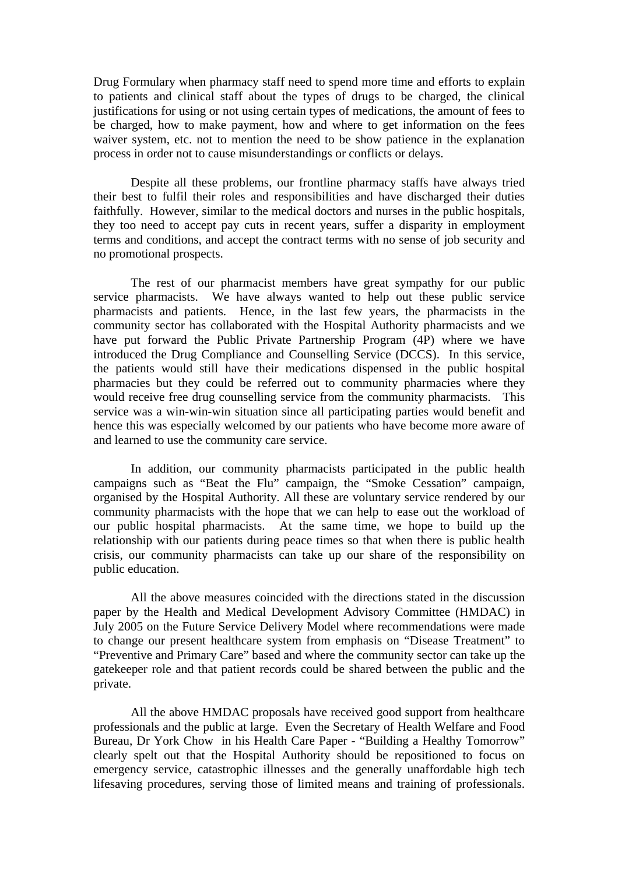Drug Formulary when pharmacy staff need to spend more time and efforts to explain to patients and clinical staff about the types of drugs to be charged, the clinical justifications for using or not using certain types of medications, the amount of fees to be charged, how to make payment, how and where to get information on the fees waiver system, etc. not to mention the need to be show patience in the explanation process in order not to cause misunderstandings or conflicts or delays.

Despite all these problems, our frontline pharmacy staffs have always tried their best to fulfil their roles and responsibilities and have discharged their duties faithfully. However, similar to the medical doctors and nurses in the public hospitals, they too need to accept pay cuts in recent years, suffer a disparity in employment terms and conditions, and accept the contract terms with no sense of job security and no promotional prospects.

The rest of our pharmacist members have great sympathy for our public service pharmacists. We have always wanted to help out these public service pharmacists and patients. Hence, in the last few years, the pharmacists in the community sector has collaborated with the Hospital Authority pharmacists and we have put forward the Public Private Partnership Program (4P) where we have introduced the Drug Compliance and Counselling Service (DCCS). In this service, the patients would still have their medications dispensed in the public hospital pharmacies but they could be referred out to community pharmacies where they would receive free drug counselling service from the community pharmacists. This service was a win-win-win situation since all participating parties would benefit and hence this was especially welcomed by our patients who have become more aware of and learned to use the community care service.

In addition, our community pharmacists participated in the public health campaigns such as "Beat the Flu" campaign, the "Smoke Cessation" campaign, organised by the Hospital Authority. All these are voluntary service rendered by our community pharmacists with the hope that we can help to ease out the workload of our public hospital pharmacists. At the same time, we hope to build up the relationship with our patients during peace times so that when there is public health crisis, our community pharmacists can take up our share of the responsibility on public education.

All the above measures coincided with the directions stated in the discussion paper by the Health and Medical Development Advisory Committee (HMDAC) in July 2005 on the Future Service Delivery Model where recommendations were made to change our present healthcare system from emphasis on "Disease Treatment" to "Preventive and Primary Care" based and where the community sector can take up the gatekeeper role and that patient records could be shared between the public and the private.

All the above HMDAC proposals have received good support from healthcare professionals and the public at large. Even the Secretary of Health Welfare and Food Bureau, Dr York Chow in his Health Care Paper - "Building a Healthy Tomorrow" clearly spelt out that the Hospital Authority should be repositioned to focus on emergency service, catastrophic illnesses and the generally unaffordable high tech lifesaving procedures, serving those of limited means and training of professionals.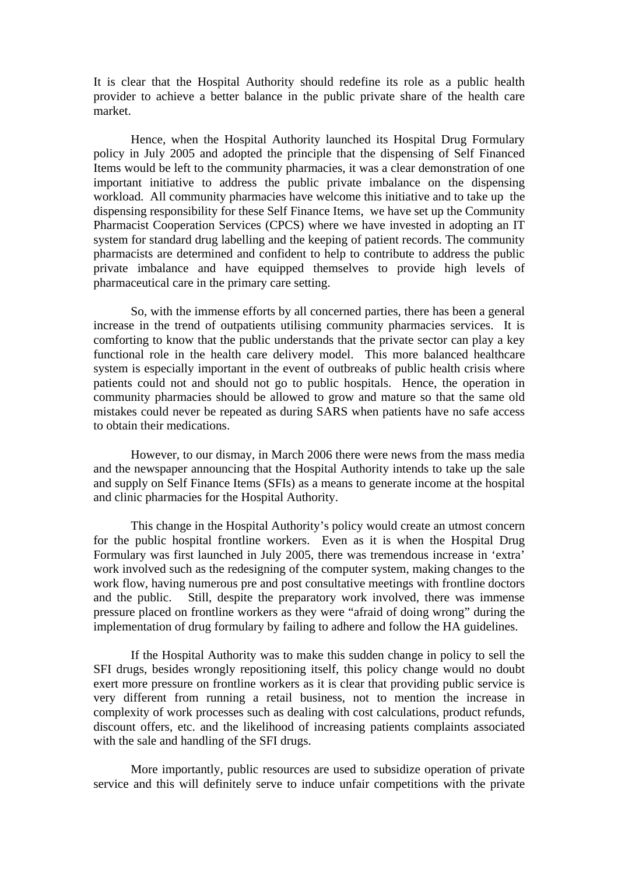It is clear that the Hospital Authority should redefine its role as a public health provider to achieve a better balance in the public private share of the health care market.

Hence, when the Hospital Authority launched its Hospital Drug Formulary policy in July 2005 and adopted the principle that the dispensing of Self Financed Items would be left to the community pharmacies, it was a clear demonstration of one important initiative to address the public private imbalance on the dispensing workload. All community pharmacies have welcome this initiative and to take up the dispensing responsibility for these Self Finance Items, we have set up the Community Pharmacist Cooperation Services (CPCS) where we have invested in adopting an IT system for standard drug labelling and the keeping of patient records. The community pharmacists are determined and confident to help to contribute to address the public private imbalance and have equipped themselves to provide high levels of pharmaceutical care in the primary care setting.

So, with the immense efforts by all concerned parties, there has been a general increase in the trend of outpatients utilising community pharmacies services. It is comforting to know that the public understands that the private sector can play a key functional role in the health care delivery model. This more balanced healthcare system is especially important in the event of outbreaks of public health crisis where patients could not and should not go to public hospitals. Hence, the operation in community pharmacies should be allowed to grow and mature so that the same old mistakes could never be repeated as during SARS when patients have no safe access to obtain their medications.

However, to our dismay, in March 2006 there were news from the mass media and the newspaper announcing that the Hospital Authority intends to take up the sale and supply on Self Finance Items (SFIs) as a means to generate income at the hospital and clinic pharmacies for the Hospital Authority.

This change in the Hospital Authority's policy would create an utmost concern for the public hospital frontline workers. Even as it is when the Hospital Drug Formulary was first launched in July 2005, there was tremendous increase in 'extra' work involved such as the redesigning of the computer system, making changes to the work flow, having numerous pre and post consultative meetings with frontline doctors and the public. Still, despite the preparatory work involved, there was immense pressure placed on frontline workers as they were "afraid of doing wrong" during the implementation of drug formulary by failing to adhere and follow the HA guidelines.

If the Hospital Authority was to make this sudden change in policy to sell the SFI drugs, besides wrongly repositioning itself, this policy change would no doubt exert more pressure on frontline workers as it is clear that providing public service is very different from running a retail business, not to mention the increase in complexity of work processes such as dealing with cost calculations, product refunds, discount offers, etc. and the likelihood of increasing patients complaints associated with the sale and handling of the SFI drugs.

More importantly, public resources are used to subsidize operation of private service and this will definitely serve to induce unfair competitions with the private